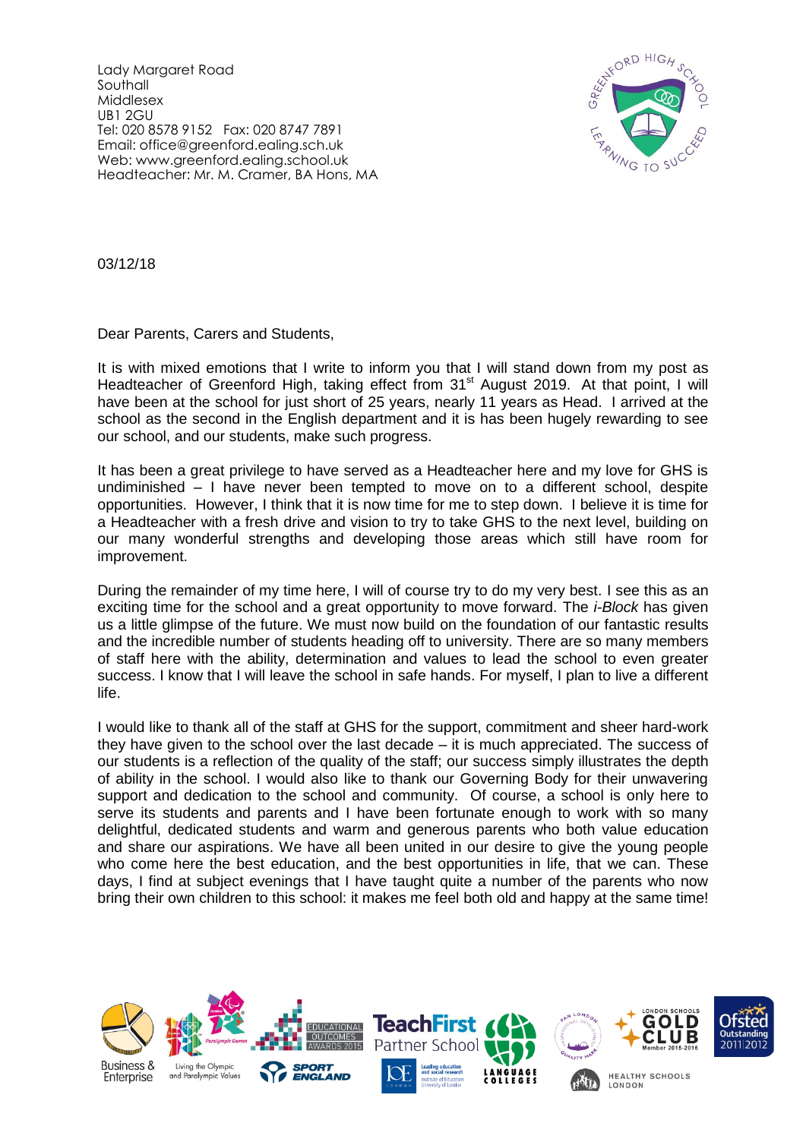Lady Margaret Road Southall Middlesex UB1 2GU Tel: 020 8578 9152 Fax: 020 8747 7891 Email: office@greenford.ealing.sch.uk Web: www.greenford.ealing.school.uk Headteacher: Mr. M. Cramer, BA Hons, MA



03/12/18

Dear Parents, Carers and Students,

It is with mixed emotions that I write to inform you that I will stand down from my post as Headteacher of Greenford High, taking effect from 31<sup>st</sup> August 2019. At that point, I will have been at the school for just short of 25 years, nearly 11 years as Head. I arrived at the school as the second in the English department and it is has been hugely rewarding to see our school, and our students, make such progress.

It has been a great privilege to have served as a Headteacher here and my love for GHS is undiminished – I have never been tempted to move on to a different school, despite opportunities. However, I think that it is now time for me to step down. I believe it is time for a Headteacher with a fresh drive and vision to try to take GHS to the next level, building on our many wonderful strengths and developing those areas which still have room for improvement.

During the remainder of my time here, I will of course try to do my very best. I see this as an exciting time for the school and a great opportunity to move forward. The *i-Block* has given us a little glimpse of the future. We must now build on the foundation of our fantastic results and the incredible number of students heading off to university. There are so many members of staff here with the ability, determination and values to lead the school to even greater success. I know that I will leave the school in safe hands. For myself, I plan to live a different life.

I would like to thank all of the staff at GHS for the support, commitment and sheer hard-work they have given to the school over the last decade – it is much appreciated. The success of our students is a reflection of the quality of the staff; our success simply illustrates the depth of ability in the school. I would also like to thank our Governing Body for their unwavering support and dedication to the school and community. Of course, a school is only here to serve its students and parents and I have been fortunate enough to work with so many delightful, dedicated students and warm and generous parents who both value education and share our aspirations. We have all been united in our desire to give the young people who come here the best education, and the best opportunities in life, that we can. These days, I find at subject evenings that I have taught quite a number of the parents who now bring their own children to this school: it makes me feel both old and happy at the same time!